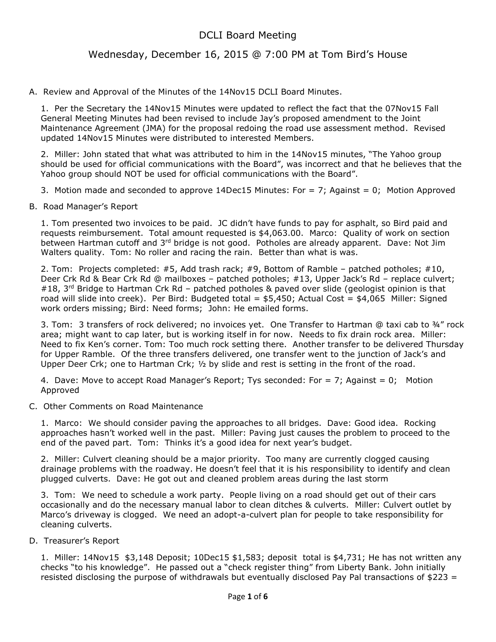# DCLI Board Meeting

## Wednesday, December 16, 2015 @ 7:00 PM at Tom Bird's House

#### A. Review and Approval of the Minutes of the 14Nov15 DCLI Board Minutes.

1. Per the Secretary the 14Nov15 Minutes were updated to reflect the fact that the 07Nov15 Fall General Meeting Minutes had been revised to include Jay's proposed amendment to the Joint Maintenance Agreement (JMA) for the proposal redoing the road use assessment method. Revised updated 14Nov15 Minutes were distributed to interested Members.

2. Miller: John stated that what was attributed to him in the 14Nov15 minutes, "The Yahoo group should be used for official communications with the Board", was incorrect and that he believes that the Yahoo group should NOT be used for official communications with the Board".

3. Motion made and seconded to approve 14Dec15 Minutes: For  $= 7$ ; Against  $= 0$ ; Motion Approved

#### B. Road Manager's Report

1. Tom presented two invoices to be paid. JC didn't have funds to pay for asphalt, so Bird paid and requests reimbursement. Total amount requested is \$4,063.00. Marco: Quality of work on section between Hartman cutoff and 3<sup>rd</sup> bridge is not good. Potholes are already apparent. Dave: Not Jim Walters quality. Tom: No roller and racing the rain. Better than what is was.

2. Tom: Projects completed: #5, Add trash rack; #9, Bottom of Ramble – patched potholes; #10, Deer Crk Rd & Bear Crk Rd @ mailboxes – patched potholes; #13, Upper Jack's Rd – replace culvert; #18, 3<sup>rd</sup> Bridge to Hartman Crk Rd – patched potholes & paved over slide (geologist opinion is that road will slide into creek). Per Bird: Budgeted total = \$5,450; Actual Cost = \$4,065 Miller: Signed work orders missing; Bird: Need forms; John: He emailed forms.

3. Tom: 3 transfers of rock delivered; no invoices yet. One Transfer to Hartman @ taxi cab to ¾" rock area; might want to cap later, but is working itself in for now. Needs to fix drain rock area. Miller: Need to fix Ken's corner. Tom: Too much rock setting there. Another transfer to be delivered Thursday for Upper Ramble. Of the three transfers delivered, one transfer went to the junction of Jack's and Upper Deer Crk; one to Hartman Crk;  $\frac{1}{2}$  by slide and rest is setting in the front of the road.

4. Dave: Move to accept Road Manager's Report; Tys seconded: For = 7; Against = 0; Motion Approved

#### C. Other Comments on Road Maintenance

1. Marco: We should consider paving the approaches to all bridges. Dave: Good idea. Rocking approaches hasn't worked well in the past. Miller: Paving just causes the problem to proceed to the end of the paved part. Tom: Thinks it's a good idea for next year's budget.

2. Miller: Culvert cleaning should be a major priority. Too many are currently clogged causing drainage problems with the roadway. He doesn't feel that it is his responsibility to identify and clean plugged culverts. Dave: He got out and cleaned problem areas during the last storm

3. Tom: We need to schedule a work party. People living on a road should get out of their cars occasionally and do the necessary manual labor to clean ditches & culverts. Miller: Culvert outlet by Marco's driveway is clogged. We need an adopt-a-culvert plan for people to take responsibility for cleaning culverts.

#### D. Treasurer's Report

1. Miller: 14Nov15 \$3,148 Deposit; 10Dec15 \$1,583; deposit total is \$4,731; He has not written any checks "to his knowledge". He passed out a "check register thing" from Liberty Bank. John initially resisted disclosing the purpose of withdrawals but eventually disclosed Pay Pal transactions of \$223 =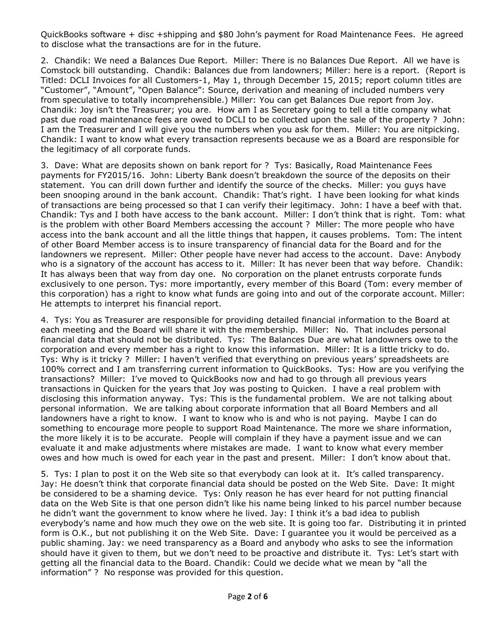QuickBooks software + disc +shipping and \$80 John's payment for Road Maintenance Fees. He agreed to disclose what the transactions are for in the future.

2. Chandik: We need a Balances Due Report. Miller: There is no Balances Due Report. All we have is Comstock bill outstanding. Chandik: Balances due from landowners; Miller: here is a report. (Report is Titled: DCLI Invoices for all Customers-1, May 1, through December 15, 2015; report column titles are "Customer", "Amount", "Open Balance": Source, derivation and meaning of included numbers very from speculative to totally incomprehensible.) Miller: You can get Balances Due report from Joy. Chandik: Joy isn't the Treasurer; you are. How am I as Secretary going to tell a title company what past due road maintenance fees are owed to DCLI to be collected upon the sale of the property ? John: I am the Treasurer and I will give you the numbers when you ask for them. Miller: You are nitpicking. Chandik: I want to know what every transaction represents because we as a Board are responsible for the legitimacy of all corporate funds.

3. Dave: What are deposits shown on bank report for ? Tys: Basically, Road Maintenance Fees payments for FY2015/16. John: Liberty Bank doesn't breakdown the source of the deposits on their statement. You can drill down further and identify the source of the checks. Miller: you guys have been snooping around in the bank account. Chandik: That's right. I have been looking for what kinds of transactions are being processed so that I can verify their legitimacy. John: I have a beef with that. Chandik: Tys and I both have access to the bank account. Miller: I don't think that is right. Tom: what is the problem with other Board Members accessing the account ? Miller: The more people who have access into the bank account and all the little things that happen, it causes problems. Tom: The intent of other Board Member access is to insure transparency of financial data for the Board and for the landowners we represent. Miller: Other people have never had access to the account. Dave: Anybody who is a signatory of the account has access to it. Miller: It has never been that way before. Chandik: It has always been that way from day one. No corporation on the planet entrusts corporate funds exclusively to one person. Tys: more importantly, every member of this Board (Tom: every member of this corporation) has a right to know what funds are going into and out of the corporate account. Miller: He attempts to interpret his financial report.

4. Tys: You as Treasurer are responsible for providing detailed financial information to the Board at each meeting and the Board will share it with the membership. Miller: No. That includes personal financial data that should not be distributed. Tys: The Balances Due are what landowners owe to the corporation and every member has a right to know this information. Miller: It is a little tricky to do. Tys: Why is it tricky ? Miller: I haven't verified that everything on previous years' spreadsheets are 100% correct and I am transferring current information to QuickBooks. Tys: How are you verifying the transactions? Miller: I've moved to QuickBooks now and had to go through all previous years transactions in Quicken for the years that Joy was posting to Quicken. I have a real problem with disclosing this information anyway. Tys: This is the fundamental problem. We are not talking about personal information. We are talking about corporate information that all Board Members and all landowners have a right to know. I want to know who is and who is not paying. Maybe I can do something to encourage more people to support Road Maintenance. The more we share information, the more likely it is to be accurate. People will complain if they have a payment issue and we can evaluate it and make adjustments where mistakes are made. I want to know what every member owes and how much is owed for each year in the past and present. Miller: I don't know about that.

5. Tys: I plan to post it on the Web site so that everybody can look at it. It's called transparency. Jay: He doesn't think that corporate financial data should be posted on the Web Site. Dave: It might be considered to be a shaming device. Tys: Only reason he has ever heard for not putting financial data on the Web Site is that one person didn't like his name being linked to his parcel number because he didn't want the government to know where he lived. Jay: I think it's a bad idea to publish everybody's name and how much they owe on the web site. It is going too far. Distributing it in printed form is O.K., but not publishing it on the Web Site. Dave: I guarantee you it would be perceived as a public shaming. Jay: we need transparency as a Board and anybody who asks to see the information should have it given to them, but we don't need to be proactive and distribute it. Tys: Let's start with getting all the financial data to the Board. Chandik: Could we decide what we mean by "all the information" ? No response was provided for this question.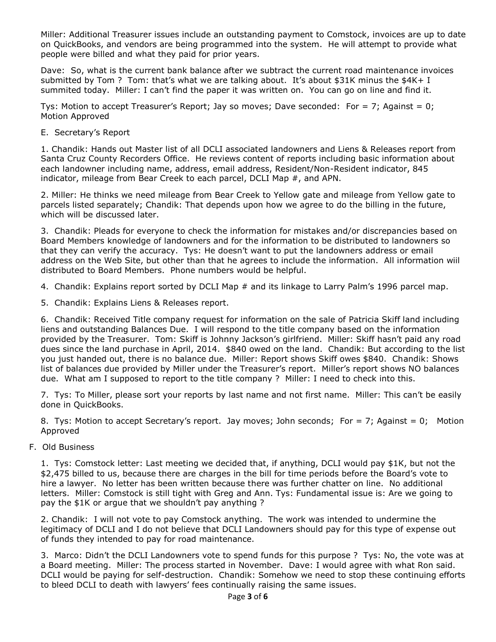Miller: Additional Treasurer issues include an outstanding payment to Comstock, invoices are up to date on QuickBooks, and vendors are being programmed into the system. He will attempt to provide what people were billed and what they paid for prior years.

Dave: So, what is the current bank balance after we subtract the current road maintenance invoices submitted by Tom ? Tom: that's what we are talking about. It's about \$31K minus the \$4K+ I summited today. Miller: I can't find the paper it was written on. You can go on line and find it.

Tys: Motion to accept Treasurer's Report; Jay so moves; Dave seconded: For = 7; Against = 0; Motion Approved

### E. Secretary's Report

1. Chandik: Hands out Master list of all DCLI associated landowners and Liens & Releases report from Santa Cruz County Recorders Office. He reviews content of reports including basic information about each landowner including name, address, email address, Resident/Non-Resident indicator, 845 indicator, mileage from Bear Creek to each parcel, DCLI Map #, and APN.

2. Miller: He thinks we need mileage from Bear Creek to Yellow gate and mileage from Yellow gate to parcels listed separately; Chandik: That depends upon how we agree to do the billing in the future, which will be discussed later.

3. Chandik: Pleads for everyone to check the information for mistakes and/or discrepancies based on Board Members knowledge of landowners and for the information to be distributed to landowners so that they can verify the accuracy. Tys: He doesn't want to put the landowners address or email address on the Web Site, but other than that he agrees to include the information. All information wiil distributed to Board Members. Phone numbers would be helpful.

4. Chandik: Explains report sorted by DCLI Map # and its linkage to Larry Palm's 1996 parcel map.

5. Chandik: Explains Liens & Releases report.

6. Chandik: Received Title company request for information on the sale of Patricia Skiff land including liens and outstanding Balances Due. I will respond to the title company based on the information provided by the Treasurer. Tom: Skiff is Johnny Jackson's girlfriend. Miller: Skiff hasn't paid any road dues since the land purchase in April, 2014. \$840 owed on the land. Chandik: But according to the list you just handed out, there is no balance due. Miller: Report shows Skiff owes \$840. Chandik: Shows list of balances due provided by Miller under the Treasurer's report. Miller's report shows NO balances due. What am I supposed to report to the title company ? Miller: I need to check into this.

7. Tys: To Miller, please sort your reports by last name and not first name. Miller: This can't be easily done in QuickBooks.

8. Tys: Motion to accept Secretary's report. Jay moves; John seconds; For = 7; Against = 0; Motion Approved

F. Old Business

1. Tys: Comstock letter: Last meeting we decided that, if anything, DCLI would pay \$1K, but not the \$2,475 billed to us, because there are charges in the bill for time periods before the Board's vote to hire a lawyer. No letter has been written because there was further chatter on line. No additional letters. Miller: Comstock is still tight with Greg and Ann. Tys: Fundamental issue is: Are we going to pay the \$1K or argue that we shouldn't pay anything ?

2. Chandik: I will not vote to pay Comstock anything. The work was intended to undermine the legitimacy of DCLI and I do not believe that DCLI Landowners should pay for this type of expense out of funds they intended to pay for road maintenance.

3. Marco: Didn't the DCLI Landowners vote to spend funds for this purpose ? Tys: No, the vote was at a Board meeting. Miller: The process started in November. Dave: I would agree with what Ron said. DCLI would be paying for self-destruction. Chandik: Somehow we need to stop these continuing efforts to bleed DCLI to death with lawyers' fees continually raising the same issues.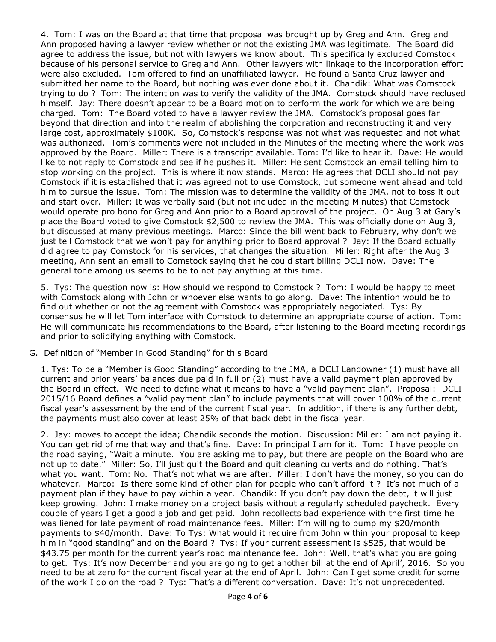4. Tom: I was on the Board at that time that proposal was brought up by Greg and Ann. Greg and Ann proposed having a lawyer review whether or not the existing JMA was legitimate. The Board did agree to address the issue, but not with lawyers we know about. This specifically excluded Comstock because of his personal service to Greg and Ann. Other lawyers with linkage to the incorporation effort were also excluded. Tom offered to find an unaffiliated lawyer. He found a Santa Cruz lawyer and submitted her name to the Board, but nothing was ever done about it. Chandik: What was Comstock trying to do ? Tom: The intention was to verify the validity of the JMA. Comstock should have reclused himself. Jay: There doesn't appear to be a Board motion to perform the work for which we are being charged. Tom: The Board voted to have a lawyer review the JMA. Comstock's proposal goes far beyond that direction and into the realm of abolishing the corporation and reconstructing it and very large cost, approximately \$100K. So, Comstock's response was not what was requested and not what was authorized. Tom's comments were not included in the Minutes of the meeting where the work was approved by the Board. Miller: There is a transcript available. Tom: I'd like to hear it. Dave: He would like to not reply to Comstock and see if he pushes it. Miller: He sent Comstock an email telling him to stop working on the project. This is where it now stands. Marco: He agrees that DCLI should not pay Comstock if it is established that it was agreed not to use Comstock, but someone went ahead and told him to pursue the issue. Tom: The mission was to determine the validity of the JMA, not to toss it out and start over. Miller: It was verbally said (but not included in the meeting Minutes) that Comstock would operate pro bono for Greg and Ann prior to a Board approval of the project. On Aug 3 at Gary's place the Board voted to give Comstock \$2,500 to review the JMA. This was officially done on Aug 3, but discussed at many previous meetings. Marco: Since the bill went back to February, why don't we just tell Comstock that we won't pay for anything prior to Board approval ? Jay: If the Board actually did agree to pay Comstock for his services, that changes the situation. Miller: Right after the Aug 3 meeting, Ann sent an email to Comstock saying that he could start billing DCLI now. Dave: The general tone among us seems to be to not pay anything at this time.

5. Tys: The question now is: How should we respond to Comstock ? Tom: I would be happy to meet with Comstock along with John or whoever else wants to go along. Dave: The intention would be to find out whether or not the agreement with Comstock was appropriately negotiated. Tys: By consensus he will let Tom interface with Comstock to determine an appropriate course of action. Tom: He will communicate his recommendations to the Board, after listening to the Board meeting recordings and prior to solidifying anything with Comstock.

#### G. Definition of "Member in Good Standing" for this Board

1. Tys: To be a "Member is Good Standing" according to the JMA, a DCLI Landowner (1) must have all current and prior years' balances due paid in full or (2) must have a valid payment plan approved by the Board in effect. We need to define what it means to have a "valid payment plan". Proposal: DCLI 2015/16 Board defines a "valid payment plan" to include payments that will cover 100% of the current fiscal year's assessment by the end of the current fiscal year. In addition, if there is any further debt, the payments must also cover at least 25% of that back debt in the fiscal year.

2. Jay: moves to accept the idea; Chandik seconds the motion. Discussion: Miller: I am not paying it. You can get rid of me that way and that's fine. Dave: In principal I am for it. Tom: I have people on the road saying, "Wait a minute. You are asking me to pay, but there are people on the Board who are not up to date." Miller: So, I'll just quit the Board and quit cleaning culverts and do nothing. That's what you want. Tom: No. That's not what we are after. Miller: I don't have the money, so you can do whatever. Marco: Is there some kind of other plan for people who can't afford it ? It's not much of a payment plan if they have to pay within a year. Chandik: If you don't pay down the debt, it will just keep growing. John: I make money on a project basis without a regularly scheduled paycheck. Every couple of years I get a good a job and get paid. John recollects bad experience with the first time he was liened for late payment of road maintenance fees. Miller: I'm willing to bump my \$20/month payments to \$40/month. Dave: To Tys: What would it require from John within your proposal to keep him in "good standing" and on the Board ? Tys: If your current assessment is \$525, that would be \$43.75 per month for the current year's road maintenance fee. John: Well, that's what you are going to get. Tys: It's now December and you are going to get another bill at the end of April', 2016. So you need to be at zero for the current fiscal year at the end of April. John: Can I get some credit for some of the work I do on the road ? Tys: That's a different conversation. Dave: It's not unprecedented.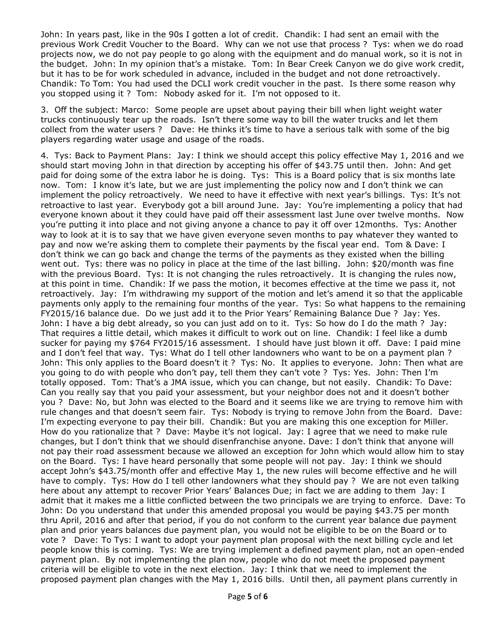John: In years past, like in the 90s I gotten a lot of credit. Chandik: I had sent an email with the previous Work Credit Voucher to the Board. Why can we not use that process ? Tys: when we do road projects now, we do not pay people to go along with the equipment and do manual work, so it is not in the budget. John: In my opinion that's a mistake. Tom: In Bear Creek Canyon we do give work credit, but it has to be for work scheduled in advance, included in the budget and not done retroactively. Chandik: To Tom: You had used the DCLI work credit voucher in the past. Is there some reason why you stopped using it ? Tom: Nobody asked for it. I'm not opposed to it.

3. Off the subject: Marco: Some people are upset about paying their bill when light weight water trucks continuously tear up the roads. Isn't there some way to bill the water trucks and let them collect from the water users ? Dave: He thinks it's time to have a serious talk with some of the big players regarding water usage and usage of the roads.

4. Tys: Back to Payment Plans: Jay: I think we should accept this policy effective May 1, 2016 and we should start moving John in that direction by accepting his offer of \$43.75 until then. John: And get paid for doing some of the extra labor he is doing. Tys: This is a Board policy that is six months late now. Tom: I know it's late, but we are just implementing the policy now and I don't think we can implement the policy retroactively. We need to have it effective with next year's billings. Tys: It's not retroactive to last year. Everybody got a bill around June. Jay: You're implementing a policy that had everyone known about it they could have paid off their assessment last June over twelve months. Now you're putting it into place and not giving anyone a chance to pay it off over 12months. Tys: Another way to look at it is to say that we have given everyone seven months to pay whatever they wanted to pay and now we're asking them to complete their payments by the fiscal year end. Tom & Dave: I don't think we can go back and change the terms of the payments as they existed when the billing went out. Tys: there was no policy in place at the time of the last billing. John: \$20/month was fine with the previous Board. Tys: It is not changing the rules retroactively. It is changing the rules now, at this point in time. Chandik: If we pass the motion, it becomes effective at the time we pass it, not retroactively. Jay: I'm withdrawing my support of the motion and let's amend it so that the applicable payments only apply to the remaining four months of the year. Tys: So what happens to the remaining FY2015/16 balance due. Do we just add it to the Prior Years' Remaining Balance Due ? Jay: Yes. John: I have a big debt already, so you can just add on to it. Tys: So how do I do the math ? Jay: That requires a little detail, which makes it difficult to work out on line. Chandik: I feel like a dumb sucker for paying my \$764 FY2015/16 assessment. I should have just blown it off. Dave: I paid mine and I don't feel that way. Tys: What do I tell other landowners who want to be on a payment plan ? John: This only applies to the Board doesn't it ? Tys: No. It applies to everyone. John: Then what are you going to do with people who don't pay, tell them they can't vote ? Tys: Yes. John: Then I'm totally opposed. Tom: That's a JMA issue, which you can change, but not easily. Chandik: To Dave: Can you really say that you paid your assessment, but your neighbor does not and it doesn't bother you ? Dave: No, but John was elected to the Board and it seems like we are trying to remove him with rule changes and that doesn't seem fair. Tys: Nobody is trying to remove John from the Board. Dave: I'm expecting everyone to pay their bill. Chandik: But you are making this one exception for Miller. How do you rationalize that ? Dave: Maybe it's not logical. Jay: I agree that we need to make rule changes, but I don't think that we should disenfranchise anyone. Dave: I don't think that anyone will not pay their road assessment because we allowed an exception for John which would allow him to stay on the Board. Tys: I have heard personally that some people will not pay. Jay: I think we should accept John's \$43.75/month offer and effective May 1, the new rules will become effective and he will have to comply. Tys: How do I tell other landowners what they should pay ? We are not even talking here about any attempt to recover Prior Years' Balances Due; in fact we are adding to them Jay: I admit that it makes me a little conflicted between the two principals we are trying to enforce. Dave: To John: Do you understand that under this amended proposal you would be paying \$43.75 per month thru April, 2016 and after that period, if you do not conform to the current year balance due payment plan and prior years balances due payment plan, you would not be eligible to be on the Board or to vote ? Dave: To Tys: I want to adopt your payment plan proposal with the next billing cycle and let people know this is coming. Tys: We are trying implement a defined payment plan, not an open-ended payment plan. By not implementing the plan now, people who do not meet the proposed payment criteria will be eligible to vote in the next election. Jay: I think that we need to implement the proposed payment plan changes with the May 1, 2016 bills. Until then, all payment plans currently in